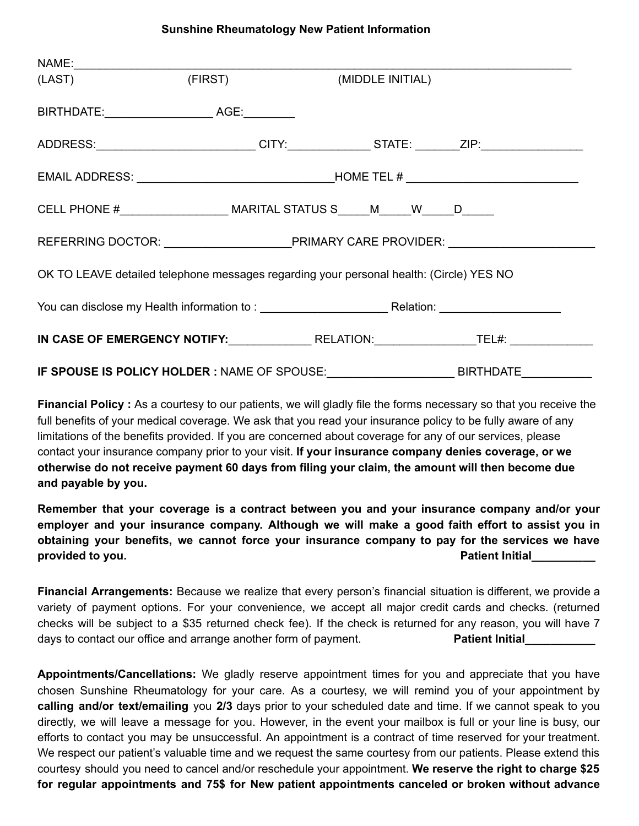## **Sunshine Rheumatology New Patient Information**

| (LAST) (FIRST) (MIDDLE INITIAL)                                                             |  |  |                  |  |  |
|---------------------------------------------------------------------------------------------|--|--|------------------|--|--|
|                                                                                             |  |  |                  |  |  |
| ADDRESS:___________________________CITY:_____________STATE: _______ZIP:________________     |  |  |                  |  |  |
|                                                                                             |  |  |                  |  |  |
| CELL PHONE #__________________________________MARITAL STATUS S______M_______W______D_______ |  |  |                  |  |  |
|                                                                                             |  |  |                  |  |  |
| OK TO LEAVE detailed telephone messages regarding your personal health: (Circle) YES NO     |  |  |                  |  |  |
|                                                                                             |  |  |                  |  |  |
|                                                                                             |  |  |                  |  |  |
| IF SPOUSE IS POLICY HOLDER : NAME OF SPOUSE:                                                |  |  | <b>BIRTHDATE</b> |  |  |

**Financial Policy :** As a courtesy to our patients, we will gladly file the forms necessary so that you receive the full benefits of your medical coverage. We ask that you read your insurance policy to be fully aware of any limitations of the benefits provided. If you are concerned about coverage for any of our services, please contact your insurance company prior to your visit. **If your insurance company denies coverage, or we otherwise do not receive payment 60 days from filing your claim, the amount will then become due and payable by you.**

**Remember that your coverage is a contract between you and your insurance company and/or your employer and your insurance company. Although we will make a good faith effort to assist you in obtaining your benefits, we cannot force your insurance company to pay for the services we have provided to you. Patient Initial\_\_\_\_\_\_\_\_\_\_**

**Financial Arrangements:** Because we realize that every person's financial situation is different, we provide a variety of payment options. For your convenience, we accept all major credit cards and checks. (returned checks will be subject to a \$35 returned check fee). If the check is returned for any reason, you will have 7 days to contact our office and arrange another form of payment. **Patient Initial** 

**Appointments/Cancellations:** We gladly reserve appointment times for you and appreciate that you have chosen Sunshine Rheumatology for your care. As a courtesy, we will remind you of your appointment by **calling and/or text/emailing** you **2/3** days prior to your scheduled date and time. If we cannot speak to you directly, we will leave a message for you. However, in the event your mailbox is full or your line is busy, our efforts to contact you may be unsuccessful. An appointment is a contract of time reserved for your treatment. We respect our patient's valuable time and we request the same courtesy from our patients. Please extend this courtesy should you need to cancel and/or reschedule your appointment. **We reserve the right to charge \$25 for regular appointments and 75\$ for New patient appointments canceled or broken without advance**